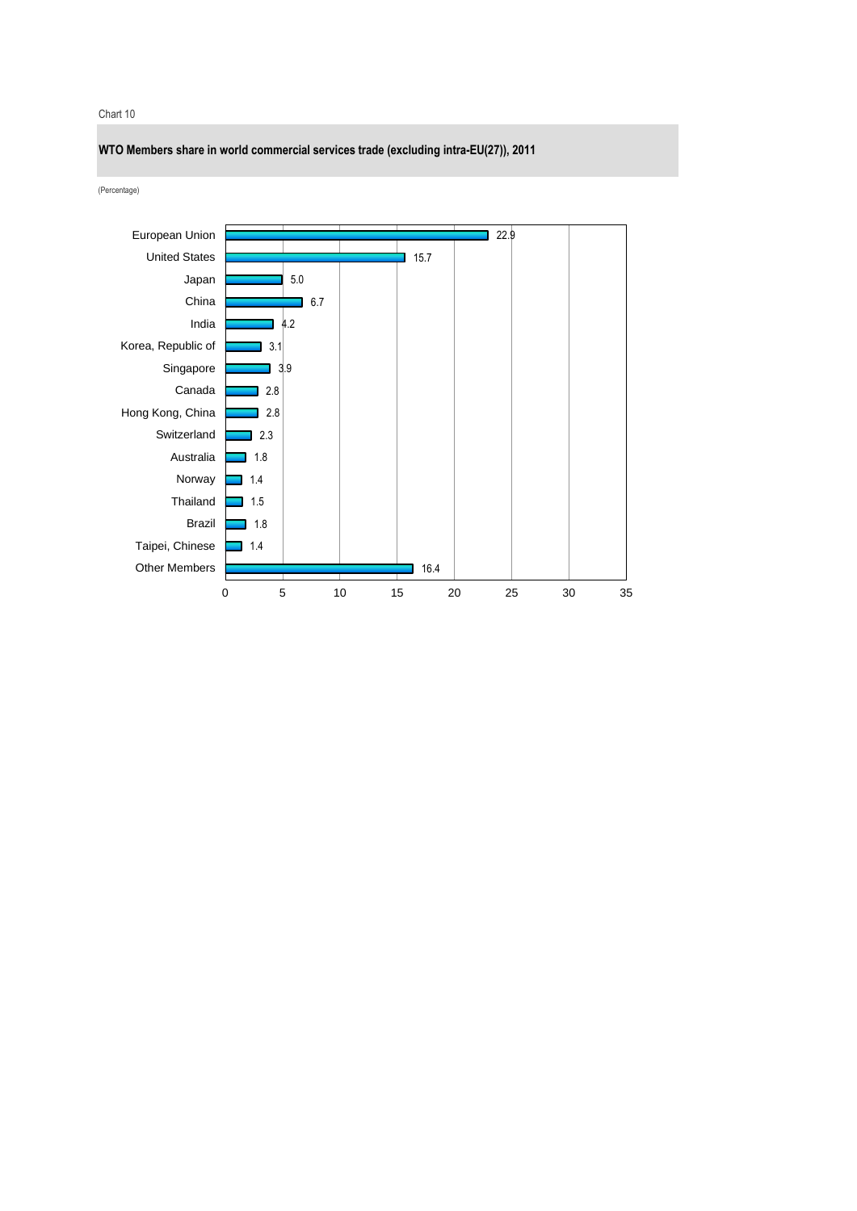### Chart 10

**WTO Members share in world commercial services trade (excluding intra-EU(27)), 2011**

(Percentage)

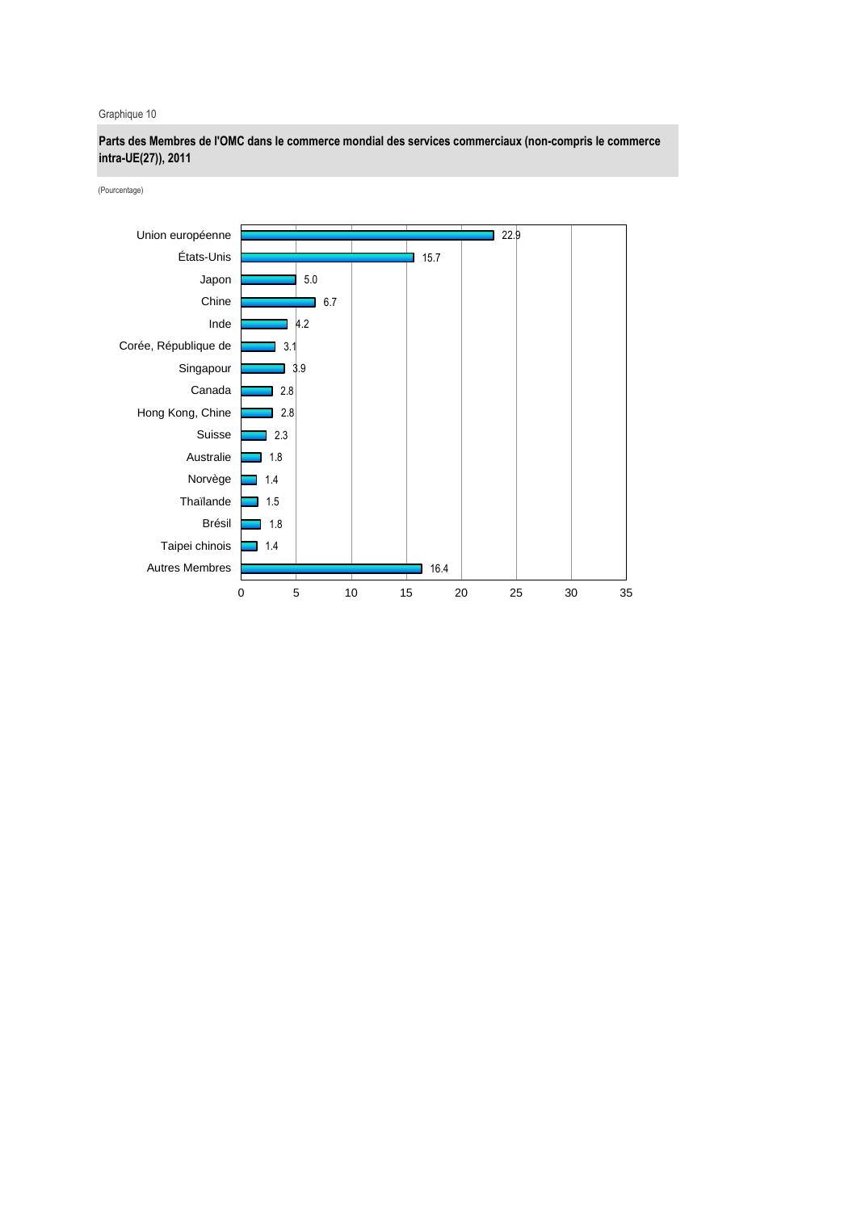# Graphique 10

**Parts des Membres de l'OMC dans le commerce mondial des services commerciaux (non-compris le commerce intra-UE(27)), 2011**

(Pourcentage)

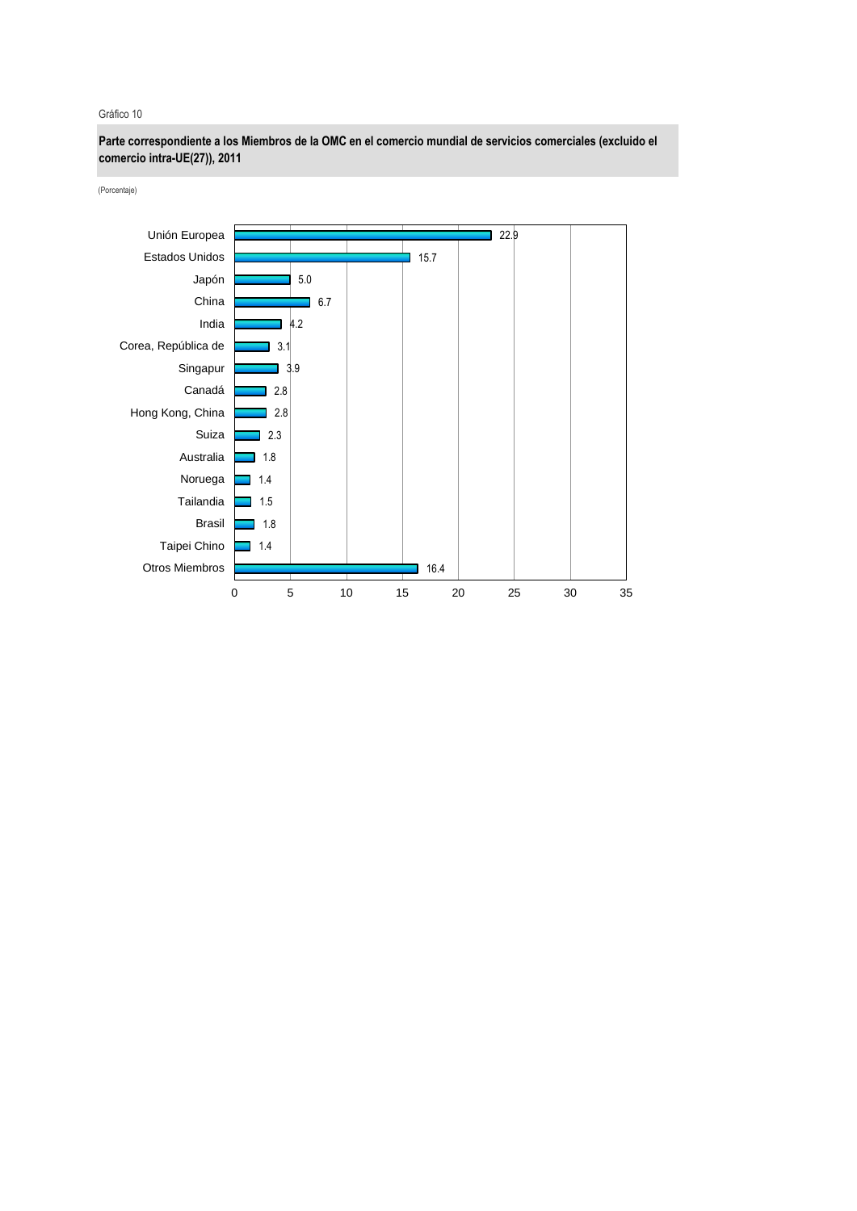#### Gráfico 10

**Parte correspondiente a los Miembros de la OMC en el comercio mundial de servicios comerciales (excluido el comercio intra-UE(27)), 2011**

(Porcentaje)